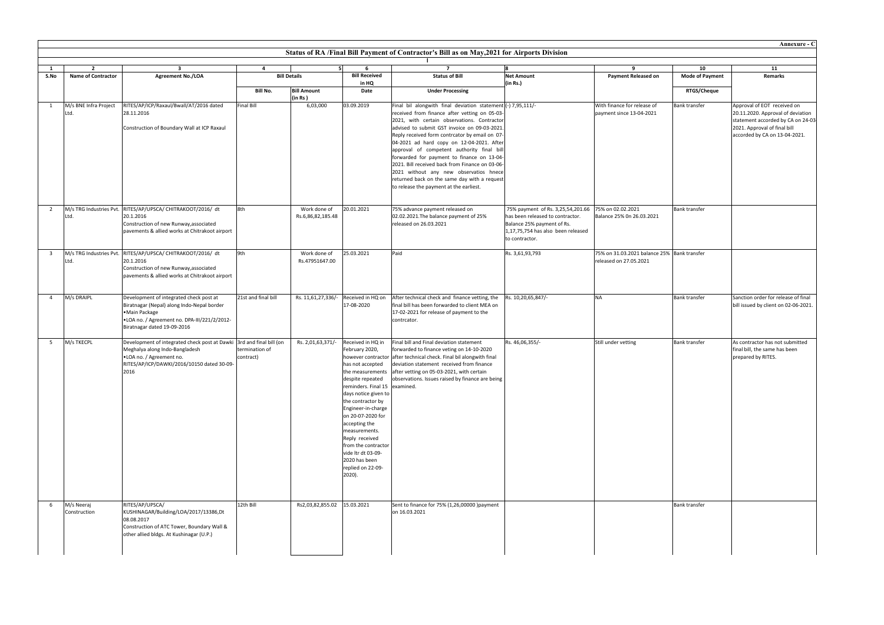|                         | $\overline{2}$                | $\overline{\mathbf{3}}$                                                                                                                                                                  | $\overline{4}$              |                                   | 6                                                                                                                                                                                                                                                                                                                                                        | $\overline{7}$                                                                                                                                                                                                                                                                                                                                                                                                                                                                                                                                                                                  | l8.                                                                                                                                                                           | - 9                                                                   | 10                     | 11                                                                                                                                                                      |
|-------------------------|-------------------------------|------------------------------------------------------------------------------------------------------------------------------------------------------------------------------------------|-----------------------------|-----------------------------------|----------------------------------------------------------------------------------------------------------------------------------------------------------------------------------------------------------------------------------------------------------------------------------------------------------------------------------------------------------|-------------------------------------------------------------------------------------------------------------------------------------------------------------------------------------------------------------------------------------------------------------------------------------------------------------------------------------------------------------------------------------------------------------------------------------------------------------------------------------------------------------------------------------------------------------------------------------------------|-------------------------------------------------------------------------------------------------------------------------------------------------------------------------------|-----------------------------------------------------------------------|------------------------|-------------------------------------------------------------------------------------------------------------------------------------------------------------------------|
|                         | <b>Name of Contractor</b>     | <b>Agreement No./LOA</b>                                                                                                                                                                 | <b>Bill Details</b>         |                                   | <b>Bill Received</b><br>in HQ                                                                                                                                                                                                                                                                                                                            | <b>Status of Bill</b>                                                                                                                                                                                                                                                                                                                                                                                                                                                                                                                                                                           | <b>Net Amount</b><br>(in Rs.)                                                                                                                                                 | <b>Payment Released on</b>                                            | <b>Mode of Payment</b> | Remarks                                                                                                                                                                 |
|                         |                               |                                                                                                                                                                                          | <b>Bill No.</b>             | <b>Bill Amount</b><br>(in Rs)     | Date                                                                                                                                                                                                                                                                                                                                                     | <b>Under Processing</b>                                                                                                                                                                                                                                                                                                                                                                                                                                                                                                                                                                         |                                                                                                                                                                               |                                                                       | <b>RTGS/Cheque</b>     |                                                                                                                                                                         |
| $\overline{1}$          | M/s BNE Infra Project<br>.td. | RITES/AP/ICP/Raxaul/Bwall/AT/2016 dated<br>28.11.2016<br>Construction of Boundary Wall at ICP Raxaul                                                                                     | <b>Final Bill</b>           | 6,03,000                          | 03.09.2019                                                                                                                                                                                                                                                                                                                                               | Final bil alongwith final deviation statement (-) 7,95,111/-<br>received from finance after vetting on 05-03-<br>2021, with certain observations. Contractor<br>advised to submit GST invoice on 09-03-2021.<br>Reply received form contrcator by email on 07-<br>04-2021 ad hard copy on 12-04-2021. After<br>approval of competent authority final bill<br>forwarded for payment to finance on 13-04-<br>2021. Bill received back from Finance on 03-06-<br>2021 without any new observatios hnece<br>returned back on the same day with a request<br>to release the payment at the earliest. |                                                                                                                                                                               | With finance for release of<br>payment since 13-04-2021               | <b>Bank transfer</b>   | Approval of EOT received on<br>20.11.2020. Approval of deviation<br>statement accorded by CA on 24-03-<br>2021. Approval of final bill<br>accorded by CA on 13-04-2021. |
| $\overline{2}$          | Ltd.                          | M/s TRG Industries Pvt. RITES/AP/UPSCA/ CHITRAKOOT/2016/ dt<br>20.1.2016<br>Construction of new Runway, associated<br>pavements & allied works at Chitrakoot airport                     | 8th                         | Work done of<br>Rs.6,86,82,185.48 | 20.01.2021                                                                                                                                                                                                                                                                                                                                               | 75% advance payment released on<br>02.02.2021. The balance payment of 25%<br>released on 26.03.2021                                                                                                                                                                                                                                                                                                                                                                                                                                                                                             | 75% payment of Rs. 3,25,54,201.66 75% on 02.02.2021<br>has been released to contractor.<br>Balance 25% payment of Rs.<br>1,17,75,754 has also been released<br>to contractor. | Balance 25% On 26.03.2021                                             | Bank transfer          |                                                                                                                                                                         |
| $\overline{\mathbf{3}}$ | Ltd.                          | M/s TRG Industries Pvt. RITES/AP/UPSCA/ CHITRAKOOT/2016/ dt<br>20.1.2016<br>Construction of new Runway, associated<br>pavements & allied works at Chitrakoot airport                     | 9th                         | Work done of<br>Rs.47951647.00    | 25.03.2021                                                                                                                                                                                                                                                                                                                                               | Paid                                                                                                                                                                                                                                                                                                                                                                                                                                                                                                                                                                                            | Rs. 3,61,93,793                                                                                                                                                               | 75% on 31.03.2021 balance 25% Bank transfer<br>released on 27.05.2021 |                        |                                                                                                                                                                         |
| $\overline{4}$          | M/s DRAIPL                    | Development of integrated check post at<br>Biratnagar (Nepal) along Indo-Nepal border<br>•Main Package<br>.LOA no. / Agreement no. DPA-III/221/2/2012-<br>Biratnagar dated 19-09-2016    | 21st and final bill         | Rs. 11,61,27,336/-                | Received in HQ on<br>17-08-2020                                                                                                                                                                                                                                                                                                                          | After technical check and finance vetting, the<br>final bill has been forwarded to client MEA on<br>17-02-2021 for release of payment to the<br>contrcator.                                                                                                                                                                                                                                                                                                                                                                                                                                     | Rs. 10,20,65,847/-                                                                                                                                                            | <b>NA</b>                                                             | <b>Bank transfer</b>   | Sanction order for release of final<br>bill issued by client on 02-06-2021.                                                                                             |
| 5                       | M/s TKECPL                    | Development of integrated check post at Dawki 3rd and final bill (on<br>Meghalya along Indo-Bangladesh<br>.LOA no. / Agreement no.<br>RITES/AP/ICP/DAWKI/2016/10150 dated 30-09-<br>2016 | termination of<br>contract) | Rs. 2,01,63,371/-                 | Received in HQ in<br>February 2020,<br>has not accepted<br>despite repeated<br>reminders. Final 15 examined.<br>days notice given to<br>the contractor by<br>Engineer-in-charge<br>on 20-07-2020 for<br>accepting the<br>measurements.<br>Reply received<br>from the contractor<br>vide ltr dt 03-09-<br>2020 has been<br>replied on 22-09-<br>$2020$ ). | Final bill and Final deviation statement<br>forwarded to finance veting on 14-10-2020<br>however contractor after technical check. Final bil alongwith final<br>deviation statement received from finance<br>the measurements after vetting on 05-03-2021, with certain<br>observations. Issues raised by finance are being                                                                                                                                                                                                                                                                     | Rs. 46,06,355/-                                                                                                                                                               | Still under vetting                                                   | <b>Bank transfer</b>   | As contractor has not submitted<br>final bill, the same has been<br>prepared by RITES.                                                                                  |
| - 6                     | M/s Neeraj<br>Construction    | RITES/AP/UPSCA/<br>KUSHINAGAR/Building/LOA/2017/13386,Dt<br>08.08.2017<br>Construction of ATC Tower, Boundary Wall &<br>other allied bldgs. At Kushinagar (U.P.)                         | 12th Bill                   | Rs2,03,82,855.02 15.03.2021       |                                                                                                                                                                                                                                                                                                                                                          | Sent to finance for 75% (1,26,00000 )payment<br>on 16.03.2021                                                                                                                                                                                                                                                                                                                                                                                                                                                                                                                                   |                                                                                                                                                                               |                                                                       | Bank transfer          |                                                                                                                                                                         |